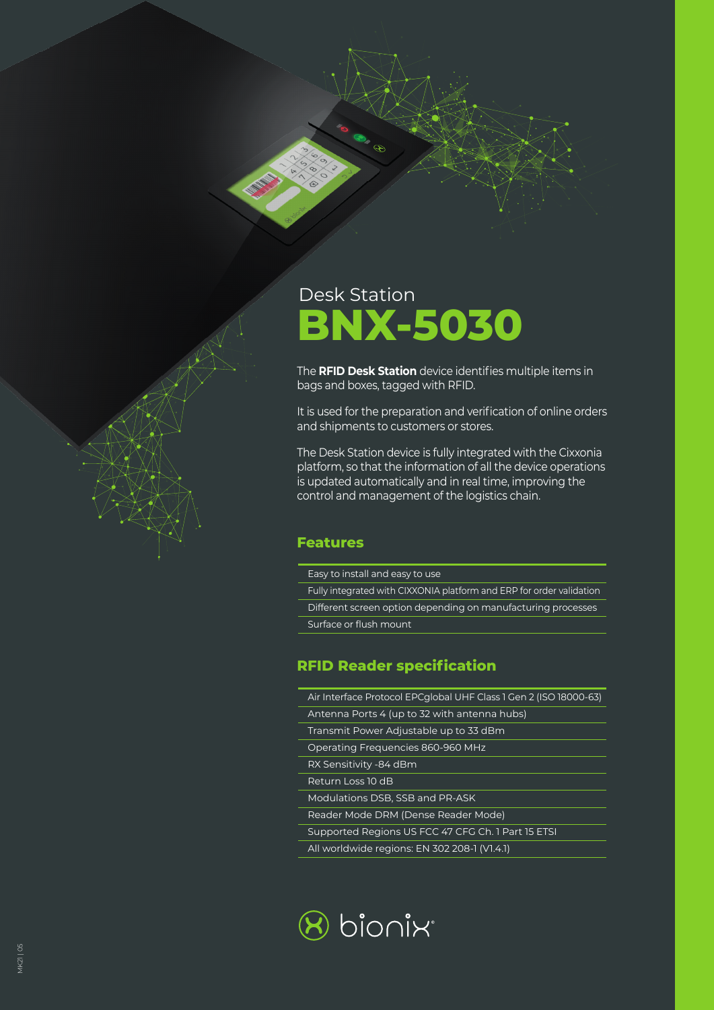

The **RFID Desk Station** device identifies multiple items in bags and boxes, tagged with RFID.

It is used for the preparation and verification of online orders and shipments to customers or stores.

The Desk Station device is fully integrated with the Cixxonia platform, so that the information of all the device operations is updated automatically and in real time, improving the control and management of the logistics chain.

#### **Features**

- Easy to install and easy to use
- Fully integrated with CIXXONIA platform and ERP for order validation
- Different screen option depending on manufacturing processes Surface or flush mount

### **RFID Reader specification**

- Air Interface Protocol EPCglobal UHF Class 1 Gen 2 (ISO 18000-63)
- Antenna Ports 4 (up to 32 with antenna hubs)
- Transmit Power Adjustable up to 33 dBm
- Operating Frequencies 860-960 MHz
- RX Sensitivity -84 dBm
- Return Loss 10 dB
- Modulations DSB, SSB and PR-ASK
- Reader Mode DRM (Dense Reader Mode)
- Supported Regions US FCC 47 CFG Ch. 1 Part 15 ETSI
- All worldwide regions: EN 302 208-1 (V1.4.1)